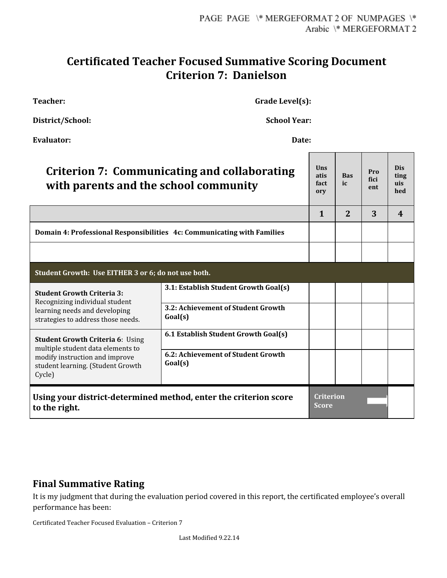## **Certificated Teacher Focused Summative Scoring Document Criterion 7: Danielson**

**Teacher: Grade Level(s):**

**District/School: School Year:**

| <b>Evaluator:</b>                                                                                                                                             | Date:                                         |                                  |                  |                    |                           |
|---------------------------------------------------------------------------------------------------------------------------------------------------------------|-----------------------------------------------|----------------------------------|------------------|--------------------|---------------------------|
| Criterion 7: Communicating and collaborating<br>with parents and the school community                                                                         |                                               | Uns<br>atis<br>fact<br>ory       | <b>Bas</b><br>ic | Pro<br>fici<br>ent | Dis<br>ting<br>uis<br>hed |
|                                                                                                                                                               |                                               | $\mathbf{1}$                     | 2                | 3                  | 4                         |
| Domain 4: Professional Responsibilities 4c: Communicating with Families                                                                                       |                                               |                                  |                  |                    |                           |
|                                                                                                                                                               |                                               |                                  |                  |                    |                           |
| Student Growth: Use EITHER 3 or 6; do not use both.                                                                                                           |                                               |                                  |                  |                    |                           |
| <b>Student Growth Criteria 3:</b><br>Recognizing individual student<br>learning needs and developing<br>strategies to address those needs.                    | 3.1: Establish Student Growth Goal(s)         |                                  |                  |                    |                           |
|                                                                                                                                                               | 3.2: Achievement of Student Growth<br>Goal(s) |                                  |                  |                    |                           |
| <b>Student Growth Criteria 6: Using</b><br>multiple student data elements to<br>modify instruction and improve<br>student learning. (Student Growth<br>Cycle) | 6.1 Establish Student Growth Goal(s)          |                                  |                  |                    |                           |
|                                                                                                                                                               | 6.2: Achievement of Student Growth<br>Goal(s) |                                  |                  |                    |                           |
| Using your district-determined method, enter the criterion score<br>to the right.                                                                             |                                               | <b>Criterion</b><br><b>Score</b> |                  |                    |                           |

## **Final Summative Rating**

It is my judgment that during the evaluation period covered in this report, the certificated employee's overall performance has been:

Certificated Teacher Focused Evaluation – Criterion 7